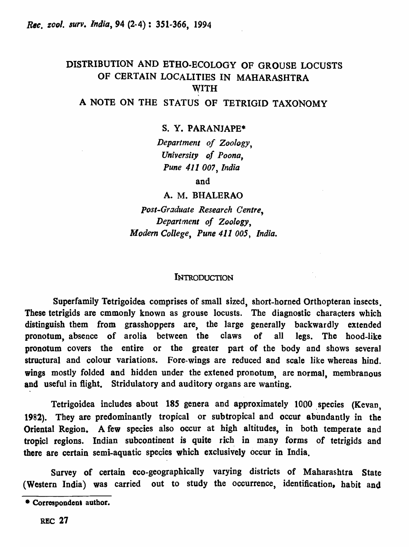# DISTRIBUTION AND BTHO·ECOLOGY OF GROUSE LOCUSTS OF CERTAIN LOCALITIES IN MAHARASHTRA WITH

# A NOTE ON THE STATUS OF TETRIGID TAXONOMY

s. Y. PARANJAPE\*

*Department of Zoology, University of Poona, Pune* 411 *DO'}, India* 

and

A. M. BHALERAO

*post-Graduate Research Centre, Department of Zoology, Modern College, Pune* 411 *005, India.* 

#### INTRODUCTION

Superfamily Tetrigoidea comprises of small sized, short-horned Otthopteran insects. These tetrigids are cmmonly known as grouse locusts. The diagnostic characters which distinguish them from grasshoppers are, the large generally backwardly extended pronotum, absence of arolia between the claws of all legs. The hood-like pronotum covers the entire or the greater part of the body and shows several structural and colour variations. Fore-wings are reduced and scale like whereas hind. wings mostly folded and hidden under the extened pronotum, are normal, membranous and useful in flight. Stridulatory and auditory organs are wanting.

Tetrigoidea includes about 185 genera and approximately 1000 species (Kevan, 1982). They are predominantly tropical or subtropical and occur abundantly in the Oriental Region. A few species also occur at high altitudes, in both temperate and tropicl regions. Indian subcontinent is quite rich in many forms of tetrigids and there are certain semi-aquatic species which exclusively occur in India.

Survey of certain eeo-geographically varying districts of Maharashtra State (Western India) was carried out to study the occurrence, identification, habit and

<sup>•</sup> Correspondent author.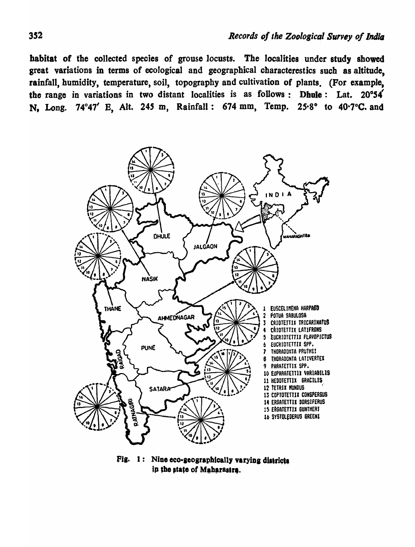habitat of the collected species of grouse locusts. The localities under study showed great variations in terms of ecological and geographical characterestics such as altitude, rainfall, humidity, temperature, soil, topography and cultivation of plants. (For example, the range in variations in two distant localities is as follows: Dhule: Lat.  $20°54'$ N, Long. 74°47' B, Alt. *24S* m, Rainfall: 674 mm, Temp. 25·8° to 40·7°C. and



Fig.  $1:$  Nine eco-geographically varying districts ip the state of Maharastra.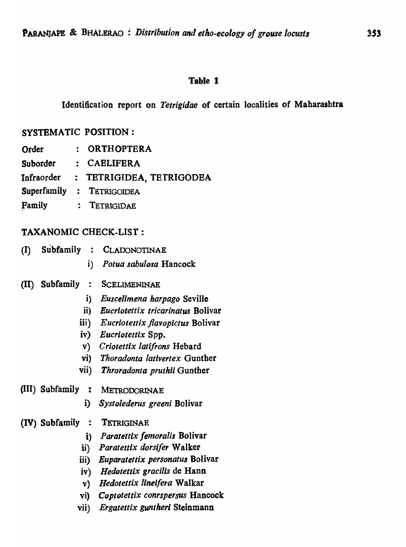### Identification report on *Tetrigidae* of certain localities of Maharashtra

## SYSTEMATIC POSITION :

- Order : ORTHOPTERA<br>Suborder : CAELIFERA
- Suborder : CAELIFERA<br>Infraorder : TETRIGIDEA
- TETRIGIDEA, TETRIGODEA
- Superfamily : TETRIGOIDEA
- Family : TETRIGIDAE

## TAXANOMIC CHECK-LIST:

- (I) Subfamily : CLADONOTINAE i) *Potua sabulosa* Hancock
- (II) Subfamily : SCELIMENINAE
	- i) *Euscelimena harpago* Seville
	- ii) *Eucrlotettix tricarinatus* Bolivar
	- iii) *Eucriotettix flavopictus* Bolivar
	- iv) *Eucriotettix* Spp.
	- v) *Criolettlx lati/rons* Hebard
	- vi) *Thoradonta lativertex* Gunther
	- vii) *Throradonta pruthii* Gunther

### ~II) Subfamily : METRODORINAE

i) *Systolederus greeni* Bolivar

#### (IV) Subfamily : TETRIGINAE

- i) Paratettix femoralis Bolivar
- ii) Paratettix dorsifer Walker
- iii) *Euparatettix personatus* Bolivar
- iv) *Hedotettix gracilis* de Hann
- v) *Hedotettix lineifera* Walkar
- vi) *Coptotettix conrspersus* Hancock
- vii) *Ergatettix gunthert* Steinmann

 $\mathcal{L}^{\mathcal{L}}$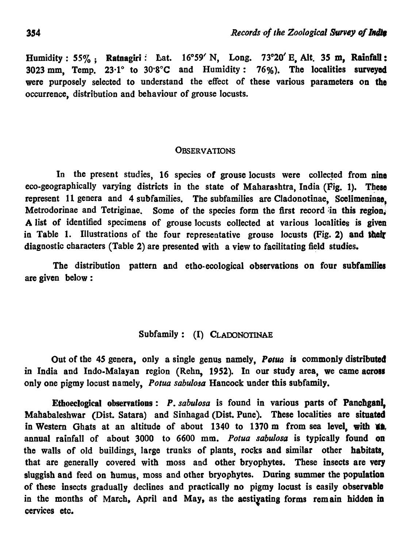Humidity: 55%; Ratnagiri: Lat. 16°59' N, Long. 73°20' E, Alt. 35 m, Rainfall: 3023 mm, Temp. 23<sup>·1°</sup> to 30<sup>·8°</sup>C and Humidity: 76%). The localities surveyed were purposely selected to understand the effect of these various parameters on the occurrence, distribution and behaviour of grouse locusts.

## **OBSERVATIONS**

In the present studies, 16 species of grouse locusts were collected from nine eco-geographically varying districts in the state of Maharashtra, India (Fig. 1). These represent 11 genera and 4 subfamilies. The subfamilies are Cladonotinae, Scelimeninae. Metrodorinae and Tetriginae. Some of the species form the first record in this region. A list of identified specimens of grouse locusts collected at various localities is given in Table 1. Illustrations of the four representative grouse locusts (Fig. 2) and their diagnostic characters (Table 2) are presented with a view to facilitating field studies.

The distribution pattern and etbo-ecological observations on four subfamilies are given below:

# Subfamily: (I) CLAOONOTINAE

Out of the 45 genera, only a single genus namely, Potua is commonly distributed in India and Indo-Malayan region (Rehn, 1952). In our study area, we came across only one pigmy locust namely, *Potua sabulosa* Hancock under this subfamily.

Ethoeclogical observations: P. sabulosa is found in various parts of Panchgan! Mahabaleshwar (Dist. Satara) and Sinhagad (Dist. Pune). These localities are situated in Western Ghats at an altitude of about 1340 to 1370 m from sea level, with **\*\*** annual rainfall of about 3000 to 6600 mm. *Potua sabulosa* is typically found on the walls of old buildings, large trunks of plants, rocks and similar other habitats, that are generally covered with moss and other bryophytes. These insects are very sluggish and feed on humus, moss and other bryophytes. During summer the population of these insects gradually declines and practically no pigmy locust is easily observable in the months of March, April and May, as the aestiyating forms remain hidden in cervices etc.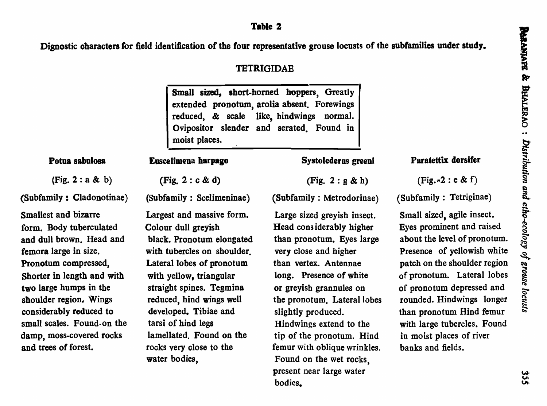Dignostic characters for field identification of the four representative grouse locusts of the subfamilies under study.

## TETRIGIDAE

Small sized, short-horned hoppers, Greatly extended pronotum, arolia absent. Forewings reduced, & scale like, hindwings normal. Ovipositor slender and serated. Found in moist places.

#### Potua sabolosa

(Fig. 2 : a & b)

(Subfamily: Cladonotinae)

Smallest and bizarre form. Body tuberculated and dull brown. Head and femora large in size. Pronotum compressed, Shorter in length and with two large humps in the shoulder region. Wings considerably reduced to small scales. Found· on the damp, moss-covered rocks and trees of forest.

(Fig. 2 : c & d)

Euscelimena barpago

(Subfamily : Scelimeninae)

Largest and massive form. Colour dull greyish black. Pronotum elongated with tubercles on shoulder. Lateral lobes of pronotum with yellow, triangular straight spines. Tegmina reduced, hind wings well developed. Tibiae and tarsi of hind legs lamellated. Found on the rocks very close to the water bodies,

Systoiederos greeni

(Fig. 2 : g & h)

(Subfamily : Metrodorinae)

Large sized greyish insect. Head considerably higher than pronotum. Eyes large very close and higher than vertex. Antennae long. Presence of white or greyish grannules on the pronotum. Lateral Jobes slightly produced. Hindwings extend to the tip of the pronotum. Hind femur with oblique wrinkles. Found on the wet rocks, present near large water bodies.

## Paratettix dorsifer

 $(Fig.72 : e & f)$ 

(Subfamily: Tetriginae)

Small sized, agile insect. Eyes prominent and raised about the level of pronotum. Presence of yellowish white patch on the shoulder region of pronotum. La teral lobes of pronotum depressed and rounded. Hindwings longer than pronotum Hind femur with large tubercles. Found in moist places of river banks and fields.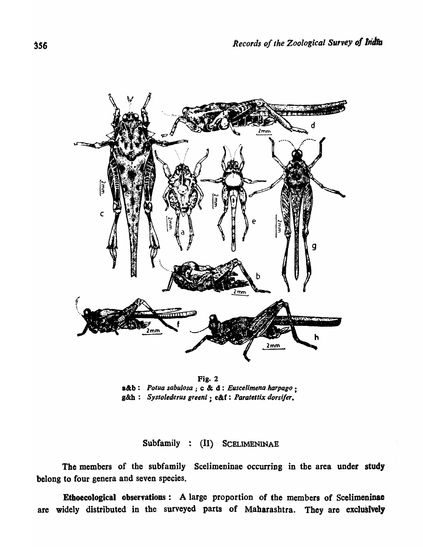

Fig. 2 aetb: *Potua sabulosa* ; c & d: *Euscelimena harpago ;*  g&h: *Systolederus greenl* ; e&f: *Parateltix dorsi/ere* 

Subfamily : (II) SCELIMENINAE

The members of the subfamily Scelimeninae occurring in the area under study belong to four genera and seven species.

Ethoecological observations: A large proportion of the members of Scelimeninae are widely distributed in the surveyed parts of Maharashtra. They are exclusively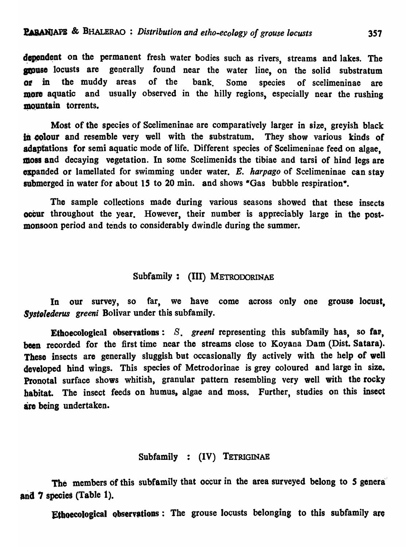dependent on the permanent fresh water bodies such as rivers, streams and lakes. The **grouse** locusts are generally found near the water line, on the solid substratum or in the muddy areas of the bank. Some species of scelimeninae are more aquatic and usually observed in the hilly regions, especially near the rushing mountain torrents.

Most of the species of Scelimeninae are comparatively larger in size, greyish black in colour and resemble very well with the substratum. They show various kinds of adaptations for semi aquatic mode of life. Different species of Scelimeninae feed on algae, moss and decaying vegetation. In some Scelimenids the tibiae and tarsi of hind legs are expanded or lamellated for swimming under water. E. *harpago* of Scelimeninae can stay submerged in water for about 15 to 20 min. and shows "Gas bubble respiration".

The sample collections made during various seasons showed that these insects occur throughout the year. However, their number is appreciably large in the postmonsoon period and tends to considerably dwindle during the summer.

## Subfamily: (III) METRODORINAE

In our survey, so far, we have come across only one grouse locust, *Systelederus greeni* Bolivar under this subfamily.

Ethoecological observations: *S*. greeni representing this subfamily has, so far, been recorded for the first time near the streams close to Koyana Dam (Dist. Satara). These insects are generally sluggish but occasionally fly actively with the help of well developed hind wings. This species of Metrodorinae is grey coloured and large in size. Pronotal surface shows whitish, granular pattern resembling very well with the rocky habitat. The insect feeds on humus, algae and moss. Further, studies on this insect are being undertaken.

#### Subfamily : (IV) TETRIGINAE

The members of this subfamily that occur in the area surveyed belong to *S* genera' and 7 species (Table 1).

Ethoecological observations: The grouse locusts belonging to this subfamily are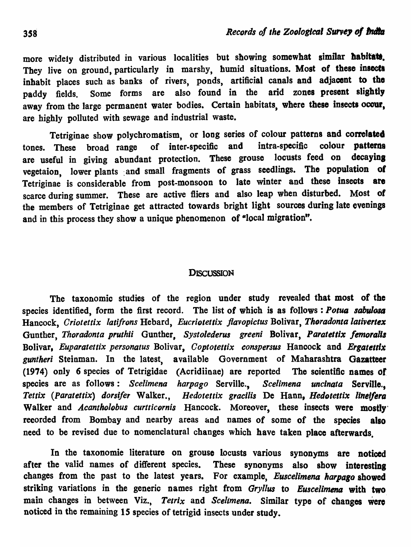more widely distributed in various localities but showing somewhat similar habitats. They live on ground, particularly in marshy, humid situations. Most of these insects inhabit places such as banks of rivers, ponds, artificial canals and adjacent to the paddy fields. Some forms are also found in the arid zones present slightly away from the large permanent water bodies. Certain habitats, where these insects occur, are highly polluted with sewage and industrial waste.

Tetriginae show polychromatism, or long series of colour patterns and correlated tones. These broad range of inter-specific and intra-specific colour patterns are useful in giving abundant protection. These grouse locusts feed on decaying vegetaion, lower plants and small fragments of grass seedlings. The population of Tetriginae is considerable from post-monsoon to late winter and these insects are scarce during summer. These are active fliers and also leap when disturbed. Most of the members of Tetriginae get attracted towards bright light sources during late evenings and in this process they show a unique phenomenon of "local migration".

#### **DISCUSSION**

The taxonomic studies of the region under study revealed that most of the species identified, form the first record. The list of which is as follows : Potua sabulosa Hancock, *Criotettix latifrons* Hebard, *Eucriotettix flavopictus* Bolivar, *Thoradonta lativertex* Gunther, *Thoradonta pruthii* Gunther, *Systolederus greeni* Bolivar, *Paratettix femoralis* Bolivar, *Euparatettix personatus* Bolivar, *Coptotettix conspersus* Hancock and *Ergatettix gunther;* Steinman. In the latest, available Government of Maharashtra Gazatteer (1974) only 6 species of Tetrigidae (Acridiinae) are reported The scientific names of species are as follows: *Scelimena harpago* Serville., *Scelimena uncinata* Serville., *Tettix (Paratettix) dorsifer Walker., Hedotettix gracilis De Hann, Hedotettix lineifera* Walker and *Acantholobus curtticornis* Hancock. Moreover, these insects were mostly recorded from Bombay and nearby areas and names of some of the species also need to be revised due to nomenclatural changes which have taken place afterwards.

In the taxonomie literature on grouse locusts various synonyms are noticed after the valid names of different species. These synonyms also show interesting changes from the past to the latest years. For example, *Euscelimena harpago* showed striking variations in the generic names right from *Gryllus* to *Euscelimena* with two main changes in between Viz., Tetrix and *Scelimena*. Similar type of changes were noticed in the remaining 15 species of tetrigid insects under study.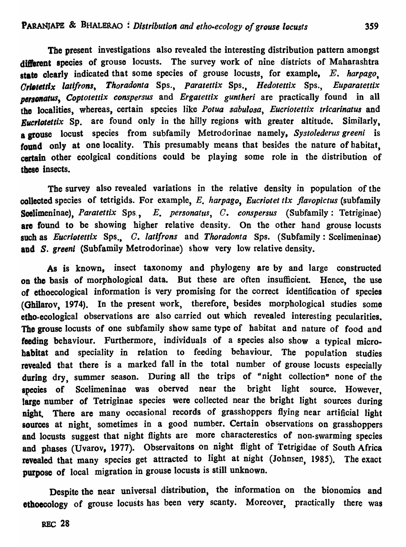The present investigations also revealed the interesting distribution pattern amongst different species of grouse locusts. The survey work of nine districts of Maharashtra state clearly indicated that some species of grouse locusts, for example, E. *harpago, Orl.tettlx latlfrons, Thoradonta* Sps., *Paratettix* Sps., *Hedotettix* Sps., *Euparatettix*  personatus, Coptotettix conspersus and *Ergatettix guntheri* are practically found in all the localities, whereas, certain species like *Potua sabulosa*, Eucriotettix tricarinatus and *Eucriotettix* Sp. are found only in the hilly regions with greater altitude. Similarly, a grouse locust species from subfamily Metrodorinae namely, *Systolederus greeni* is found only at one locality. This presumably means that besides the nature of habitat, certain other ecolgical conditions could be playing some role in the distribution of these insects.

The survey also revealed variations in the relative density in population of the collected species of tetrigids. For example, E. *harpago, Eucriotet tlx jlavopictus* (subfamily Scelimeninae), *Paratettix* Sps., E. *personatus*, C. *conspersus* (Subfamily: Tetriginae) are found to be showing higher relative density. On the other hand grouse locusts such as *Eucriotettix* Sps., *C. latifrons* and *Thoradonta* Sps. (Subfamily: Scelimeninae) and *S. greeni* (Subfamily Metrodorinae) show very low relative density.

As is known, insect taxonomy and phylogeny are by and large constructed on the basis of morphological data. But these are often insufficient. Hence, the use of ethoecological information is very promising for the correct identification of species (Ghilarov, 1974). In the present work, therefore, besides morphological studies some etho-ecological observations are' also carried out which revealed interesting pecularities. The grouse locusts of one subfamily show same type of habitat and nature of food and feeding behaviour. Furthermore, individuals of a species also show a typical microhabitat and speciality in relation to feeding behaviour. The population studies revealed that there is a marked fall in the total number of grouse locusts especially during dry, summer season. During all the trips of "night collection" none of the species of Scelimeninae was oberved near the bright light source. However, large number of Tetriginae species were collected near the bright light sources during night. There are many occasional records of grasshoppers flying near artificial light sources at night, sometimes in a good number. Certain observations on grasshoppers and locusts suggest that night flights are more characterestics of non-swarming species and phases (Uvarov, 1977). Observaitons on nigbt flight of Tetrigidae of South Africa revealed that many species get attracted to light at night (Johnsen, 1985). The exact purpose of local migration in grouse locusts is still unknown.

Despite the near universal distribution, the information on the bionomics and ethoecology of grouse locusts has been very scanty. Moreover, practically there was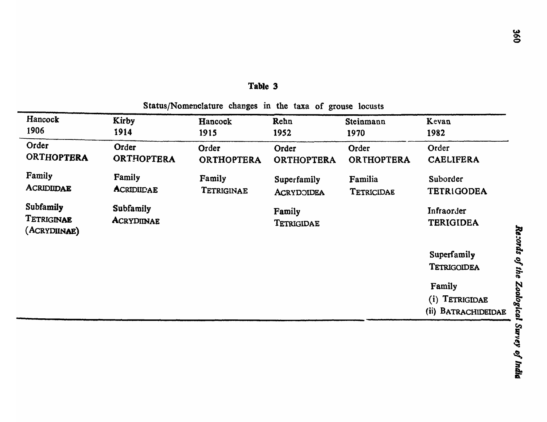Status/Nomenclature changes in the taxa of grouse locusts

| Hancock                                 | Kirby                   | Hancock           | Rehn                 | Steinmann         | Kevan                                           |                   |
|-----------------------------------------|-------------------------|-------------------|----------------------|-------------------|-------------------------------------------------|-------------------|
| 1906                                    | 1914                    | 1915              | 1952                 | 1970              | 1982                                            |                   |
| Order                                   | Order                   | Order             | Order                | Order             | Order                                           |                   |
| ORTHOPTERA                              | <b>ORTHOPTERA</b>       | <b>ORTHOPTERA</b> | ORTHOPTERA           | <b>ORTHOPTERA</b> | <b>CAELIFERA</b>                                |                   |
| Family                                  | Family                  | Family            | Superfamily          | Familia           | Suborder                                        |                   |
| <b>ACRIDIIDAE</b>                       | <b>ACRIDIICAE</b>       | TETRIGINAE        | <b>ACRYDOIDEA</b>    | TETRICIDAE        | <b>TETRIGODEA</b>                               |                   |
| Subfamily<br>TETRIGINAE<br>(ACRYDIINAE) | Subfamily<br>ACRYDIINAE |                   | Family<br>TETRIGIDAE |                   | Infraorder<br><b>TERIGIDEA</b>                  |                   |
|                                         |                         |                   |                      |                   | Superfamily<br>TETRIGOIDEA                      | Records<br>of the |
|                                         |                         |                   |                      |                   | Family<br>(i) TETRIGIDAE<br>(ii) BATRACHIDEIDAE | Zoological        |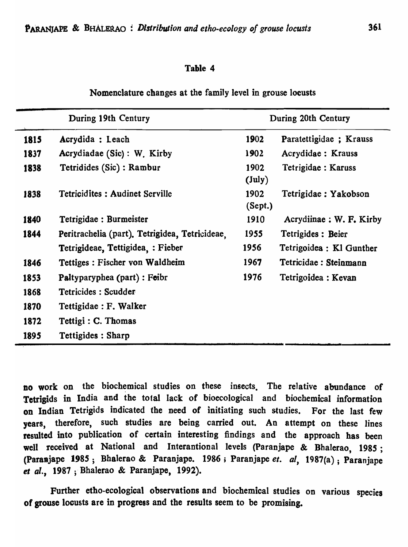Nomenclature changes at the family level in grouse locusts

| During 19th Century |                                                | During 20th Century     |                          |  |
|---------------------|------------------------------------------------|-------------------------|--------------------------|--|
| 1815                | Acrydida : Leach                               | 1902                    | Paratettigidae; Krauss   |  |
| 1837                | Acrydiadae (Sic): W. Kirby                     | 1902                    | Acrydidae : Krauss       |  |
| 1838                | Tetridides (Sic) : Rambur                      | 1902<br>$(\text{July})$ | Tetrigidae : Karuss      |  |
| 1838                | <b>Tetricidites: Audinet Serville</b>          | 1902<br>(Sept.)         | Tetrigidae: Yakobson     |  |
| 1840                | Tetrigidae : Burmeister                        | 1910                    | Acrydiinae : W. F. Kirby |  |
| 1844                | Peritrachelia (part). Tetrigidea, Tetricideae. | 1955                    | Tetrigides: Beier        |  |
|                     | Tetrigideae, Tettigidea, : Fieber              | 1956                    | Tetrigoidea : Kl Gunther |  |
| 1846                | Tettiges : Fischer von Waldheim                | 1967                    | Tetricidae: Steinmann    |  |
| 1853                | Paltyparyphea (part) : Feibr                   | 1976                    | Tetrigoidea : Kevan      |  |
| 1868                | Tetricides: Scudder                            |                         |                          |  |
| 1870                | Tettigidae : F. Walker                         |                         |                          |  |
| 1872                | Tettigi : C. Thomas                            |                         |                          |  |
| 1895                | <b>Tettigides: Sharp</b>                       |                         |                          |  |

no work on the biochemical studies on these insects. The relative abundance of Tetrigids in India and the total lack of bioecological and biochemical information on Indian Tetrigids indicated the need of initiating such studies. For the last few years, therefore, such studies are being carried out. An attempt on these lines resulted into publication of certain interesting findings and the approach has been well received at National and Interantional levels (Paranjape & Bhalerao, 1985; (Paraajape 1985; Bhalerao & Paranjape. 1986; Paranjape *el. ai,* 1987(8); Paranjape et al., 1987; Bhalerao & Paranjape, 1992).

Further etbo-ecological observations and biochemical studies on various species of grouse locusts are in progress and the results seem to be promising.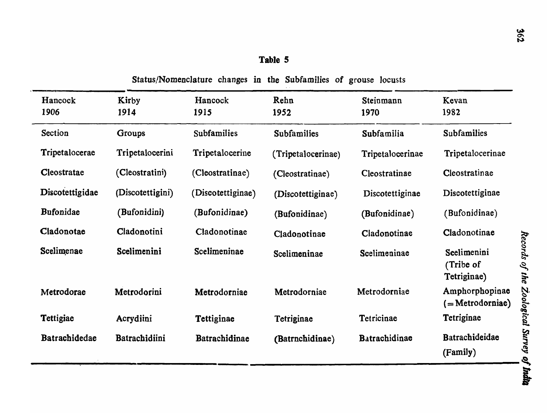| Hancock<br>1906  | Kirby<br>Hancock<br>1914<br>1915 |                    | Rehn<br>1952       | Steinmann<br>1970 | Kevan<br>1982                           |
|------------------|----------------------------------|--------------------|--------------------|-------------------|-----------------------------------------|
| Section          | <b>Groups</b>                    | <b>Subfamilies</b> | <b>Subfamilies</b> | Subfamilia        | <b>Subfamilies</b>                      |
| Tripetalocerae   | Tripetalocerini                  | Tripetalocerine    | (Tripetalocerinae) | Tripetalocerinae  | Tripetalocerinae                        |
| Cleostratae      | (Cleostratini)                   | (Cleostratinae)    | (Cleostratinae)    | Cleostratinae     | Cleostratinae                           |
| Discotettigidae  | (Discotettigini)                 | (Discotettiginae)  | (Discotettiginae)  | Discotettiginae   | Discotettiginae                         |
| <b>Bufonidae</b> | (Bufonidini)                     | (Bufonidinae)      | (Bufonidinae)      | (Bufonidinae)     | (Bufonidinae)                           |
| Cladonotae       | Cladonotini                      | Cladonotinae       | Cladonotinae       | Cladonotinae      | Cladonotinae                            |
| Scelimenae       | Scelimenini                      | Scelimeninae       | Scelimeninae       | Scelimeninae      | Scelimenini<br>(Tribe of<br>Tetriginae) |
| Metrodorae       | Metrodorini                      | Metrodorniae       | Metrodorniae       | Metrodorniae      | Amphorphopinae<br>$($ =Metrodorniae)    |
| Tettigiae        | Acrydiini                        | Tettiginae         | Tetriginae         | Tetricinae        | Tetriginae                              |
| Batrachidedae    | Batrachidiini                    | Batrachidinae      | (Batrnchidinae)    | Batrachidinae     | Batrachideidae<br>(Family)              |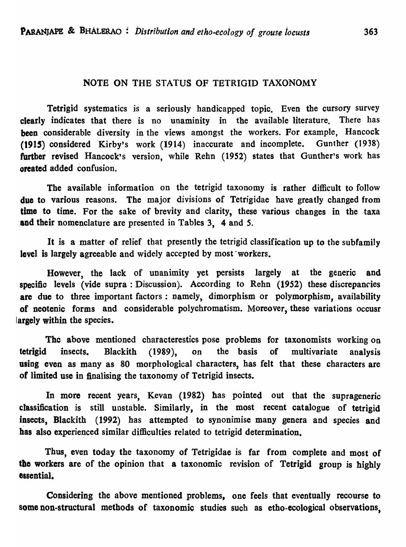#### NOTE ON THE STATUS OF TETRIGID TAXONOMY

Tetrigid systematics is a seriously handicapped topic. Even the cursory survey clearly indicates that there is no unaminity in the available literature. There has been considerable diversity in the views amongst the workers. For example, Hancock (1915) considered Kirby's work (1914) inaccurate and incomplete. Gunther (1938) further revised Hancock's version, while Rehn (1952) states that Gunther's work has oreated added confusion.

The available information on the tetrigid taxonomy is rather difficult to follow due to various reasons. The major divisions of Tetrigidae have greatly changed from time to time. For the sake of brevity and clarity, these various changes in the taxa and their nomenclature are presented in Tables 3, 4 and 5.

It is a matter of relief that presently the tetrigid classification up to the subfamily level is largely agreeable and widely accepted by most workers.

However, the lack of unanimity yet persists largely at the generic and specific levels (vide supra: Discussion). According to Rehn (1952) these discrepancies are due to three important factors: namely, dimorphism or polymorphism, availability of neotenic forms and considerable polychromatism. Moreover, these variations occusr largely within the species.

The above mentioned characterestics pose problems for taxonomists working on tetrigid insects. Blackith (1989), on the basis of multivariate analysis using even as many as 80 morphological characters, has felt that these characters are of limited use in finalising· the taxonomy of Tetrigid insects.

In more recent years, Kevan (1982) has pointed out that the suprageneric classification is still unstable. Similarly, in the most recent catalogue of tetrigid insects, Blackith (1992) has attempted to synonimise many genera and species and has also experienced similar difficulties related to tetrigid determination.

Thus, even today the taxonomy of Tetrigidae is far from complete and most of the workers are of the opinion that a taxonomic revision of Tetrigid group is highly essential.

Considering the above mentioned problems, one feels that eventually recourse to some non-structural metbods of taxonomic studies such as etho-ecological observations,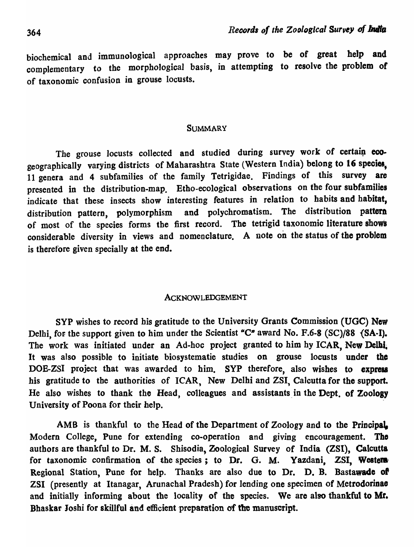biochemical and immunological approaches may prove to be of great help and complementary to the morphological basis, in attempting to resolve the problem of of taxonomic confusion in grouse locusts.

#### **SUMMARY**

The grouse locusts collected and studied during survey work of certain ecogeographically varying districts of Maharashtra State (Western India) belong to 16 species, 11 genera and 4 subfamilies of the family Tetrigidae. Findings of this survey are presented in the distribution-map. Etbo-ecological observations on the four subfamilies indicate that these insects show interesting features in relation to habits and habitat, distribution pattern, polymorphism and polychromatism. The distribution pattern of most of the species forms the first record. The tetrigid taxonomic literature shows considerable diversity in views and nomenclature. A note on the status of the problem is therefore given specially at the end.

#### ACKNOWLEDGEMENT

SYP wishes to record his gratitude to the University Grants Commission (UGC) New Delhi, for the support given to him under the Scientist " $C$ " award No. F.6-8 (SC)/88  $(SA-I)$ . The work was initiated under an Ad-hoc project granted to him hy ICAR, New Delhi. It was also possible to initiate biosystematie studies on grouse locusts under the DOE-ZSI project that was awarded to him. SYP therefore, also wishes to express his gratitude to the authorities of ICAR. New Delhi and ZSI, Calcutta for the support. He also wishes to thank the Head, colleagues and assistants in the Dept. of Zoology University of Poona for their help.

AMB is thankful to the Head of the Department of Zoology and to the Principal. Modern College, Pune for extending co-operation and giving encouragement. The authors are thankful to Dr. M. S. Shisodia, Zoological Survey of India (ZSI), Calcutta for taxonomic confirmation of the species; to Dr. G. M. Yazdani, ZSI, Western Regional Station, Pune for help. Thanks are also due to Dr. D. B. Bastawade of ZSI (presently at Itanagar, Arunachal Pradesh) for lending one specimen of Metrodorinae and initially informing about the locality of the species. We are also thankful to Mr. Bhaskar Joshi for skillful and efficient preparation of the manuscript.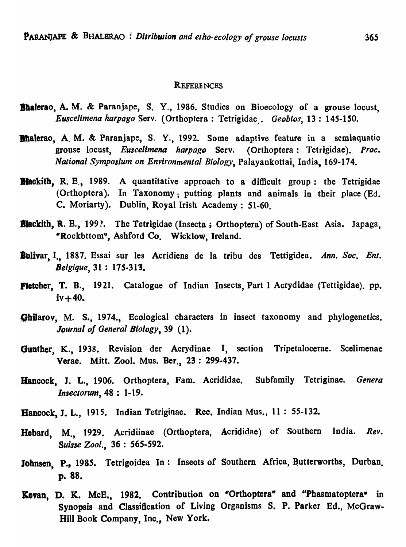#### **REFERENCES**

- Bhalerao, A. M. & Paranjape, S. Y., 1986. Studies on Bioecology of a grouse locust, *Euscelimena harpago Serv.* (Orthoptera : Tetrigidae . *Geobios*, 13 : 145-150.
- Bhalerao, A. M. & Paranjape, S. Y., 1992. Some adaptive feature in a semiaquatic grouse locust, *Euscelimena harpago* Serv. (Orthoptera: Tetrigidae). *Proc. National Symposium on Environmental Biology,* Palayankottai, India, 169-174"
- **Blackith, R. E., 1989.** A quantitative approach to a difficult group: the Tetrigidae (Orthoptera). In Taxonomy; putting plants and animals in their place (Ed. C. Moriarty). Dublin, Royal Irish Academy: 51-60.
- Blackith, R. E., 199?. The Tetrigidae (Insecta; Orthoptera) of South-East Asia. Japaga, -Rockbttom", Ashford Co. Wicklow, Ireland.
- Bolivar, I., 1887. Essai sur les Acridiens de la tribu des Tettigidea. Ann. Soc. Ent. *Belgique,* 31 : *17S·313.*
- Pletcher, T. B., 1921. Catalogue of Indian Insects, Part 1 Acrydidae (Tettigidae). pp.  $iv + 40.$
- Ghilarov, M. S., 1974., Ecological characters in insect taxonomy and phylogenetics. *Journal of General Biology,* 39 (1).
- Gunther, K., 1938. Revision der Acrydinae I, section Tripetalocerae. Scelimenae Verae. Mitt. ZooI. Mus. Ber., 23 : 299-437 •
- . Hancock, J. L., 1906. Ortboptera, Fam. Acrididae. Subfamily Tetriginae. *Genera Insectorum,* 48 : 1-19.
- Hancock, J. L., 1915. Indian Tetriginae. Rec. Indian Mus., 11 : 55-132.
- Hebard, M., 1929. Acridiinae (Orthoptera, Acrididae) of Southern India. *Rev. Suisse Zool.,* 36 : 565-592.
- Johnsen, P., 1985. Tetrigoidea In: Insects of Southern Africa, Butterworths, Durban. p. 88.
- Kevan, D. K. McE., 1982. Contribution on "Orthoptera" and "Phasmatoptera" in Synopsis and Classification of Living Organisms S. P. Parker Ed., McGraw-Hill Book Company, Inc., New York.